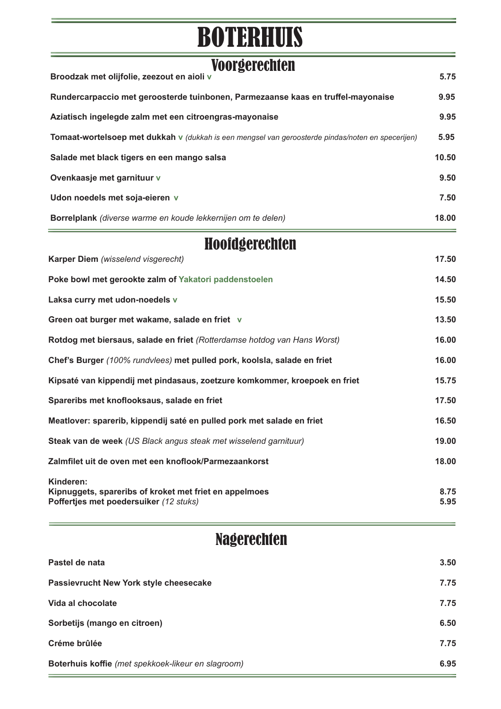## BOTERHUIS

| <b>Voorgerechten</b><br>Broodzak met olijfolie, zeezout en aioli v                                            | 5.75         |
|---------------------------------------------------------------------------------------------------------------|--------------|
| Rundercarpaccio met geroosterde tuinbonen, Parmezaanse kaas en truffel-mayonaise                              | 9.95         |
| Aziatisch ingelegde zalm met een citroengras-mayonaise                                                        | 9.95         |
| Tomaat-wortelsoep met dukkah v (dukkah is een mengsel van geroosterde pindas/noten en specerijen)             | 5.95         |
| Salade met black tigers en een mango salsa                                                                    | 10.50        |
| Ovenkaasje met garnituur v                                                                                    | 9.50         |
| Udon noedels met soja-eieren v                                                                                | 7.50         |
| Borrelplank (diverse warme en koude lekkernijen om te delen)                                                  | 18.00        |
| Hoofdgerechten                                                                                                |              |
| Karper Diem (wisselend visgerecht)                                                                            | 17.50        |
| Poke bowl met gerookte zalm of Yakatori paddenstoelen                                                         | 14.50        |
| Laksa curry met udon-noedels v                                                                                | 15.50        |
| Green oat burger met wakame, salade en friet v                                                                | 13.50        |
| Rotdog met biersaus, salade en friet (Rotterdamse hotdog van Hans Worst)                                      | 16.00        |
| Chef's Burger (100% rundvlees) met pulled pork, koolsla, salade en friet                                      | 16.00        |
| Kipsaté van kippendij met pindasaus, zoetzure komkommer, kroepoek en friet                                    | 15.75        |
| Spareribs met knoflooksaus, salade en friet                                                                   | 17.50        |
| Meatlover: sparerib, kippendij saté en pulled pork met salade en friet                                        | 16.50        |
| Steak van de week (US Black angus steak met wisselend garnituur)                                              | 19.00        |
| Zalmfilet uit de oven met een knoflook/Parmezaankorst                                                         | 18.00        |
| Kinderen:<br>Kipnuggets, spareribs of kroket met friet en appelmoes<br>Poffertjes met poedersuiker (12 stuks) | 8.75<br>5.95 |

## Nagerechten

| Boterhuis koffie (met spekkoek-likeur en slagroom) | 6.95 |
|----------------------------------------------------|------|
| Créme brûlée                                       | 7.75 |
| Sorbetijs (mango en citroen)                       | 6.50 |
| Vida al chocolate                                  | 7.75 |
| Passievrucht New York style cheesecake             | 7.75 |
| Pastel de nata                                     | 3.50 |